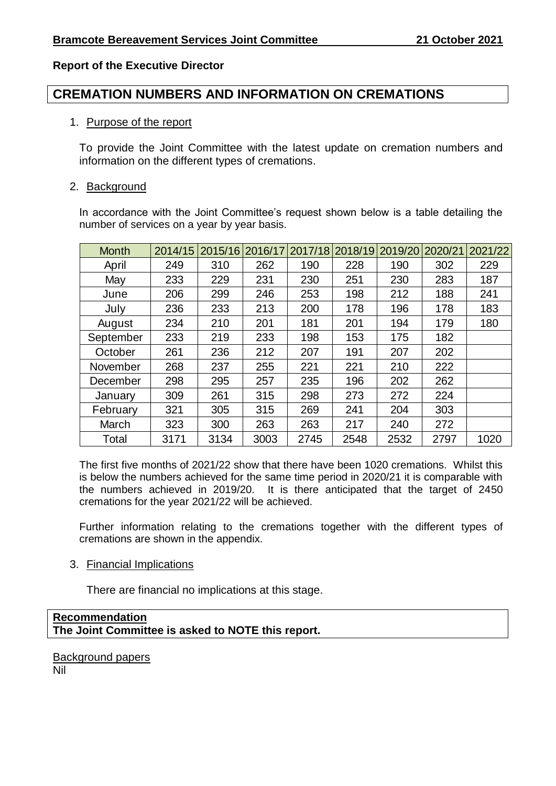### **Report of the Executive Director**

## **CREMATION NUMBERS AND INFORMATION ON CREMATIONS**

### 1. Purpose of the report

To provide the Joint Committee with the latest update on cremation numbers and information on the different types of cremations.

### 2. Background

In accordance with the Joint Committee's request shown below is a table detailing the number of services on a year by year basis.

| <b>Month</b> | 2014/15 | 2015/16 | 2016/17 | 2017/18 | 2018/19 | 2019/20 | 2020/21 | 2021/22 |
|--------------|---------|---------|---------|---------|---------|---------|---------|---------|
| April        | 249     | 310     | 262     | 190     | 228     | 190     | 302     | 229     |
| May          | 233     | 229     | 231     | 230     | 251     | 230     | 283     | 187     |
| June         | 206     | 299     | 246     | 253     | 198     | 212     | 188     | 241     |
| July         | 236     | 233     | 213     | 200     | 178     | 196     | 178     | 183     |
| August       | 234     | 210     | 201     | 181     | 201     | 194     | 179     | 180     |
| September    | 233     | 219     | 233     | 198     | 153     | 175     | 182     |         |
| October      | 261     | 236     | 212     | 207     | 191     | 207     | 202     |         |
| November     | 268     | 237     | 255     | 221     | 221     | 210     | 222     |         |
| December     | 298     | 295     | 257     | 235     | 196     | 202     | 262     |         |
| January      | 309     | 261     | 315     | 298     | 273     | 272     | 224     |         |
| February     | 321     | 305     | 315     | 269     | 241     | 204     | 303     |         |
| March        | 323     | 300     | 263     | 263     | 217     | 240     | 272     |         |
| Total        | 3171    | 3134    | 3003    | 2745    | 2548    | 2532    | 2797    | 1020    |

The first five months of 2021/22 show that there have been 1020 cremations. Whilst this is below the numbers achieved for the same time period in 2020/21 it is comparable with the numbers achieved in 2019/20. It is there anticipated that the target of 2450 cremations for the year 2021/22 will be achieved.

Further information relating to the cremations together with the different types of cremations are shown in the appendix.

### 3. Financial Implications

There are financial no implications at this stage.

### **Recommendation The Joint Committee is asked to NOTE this report.**

Background papers Nil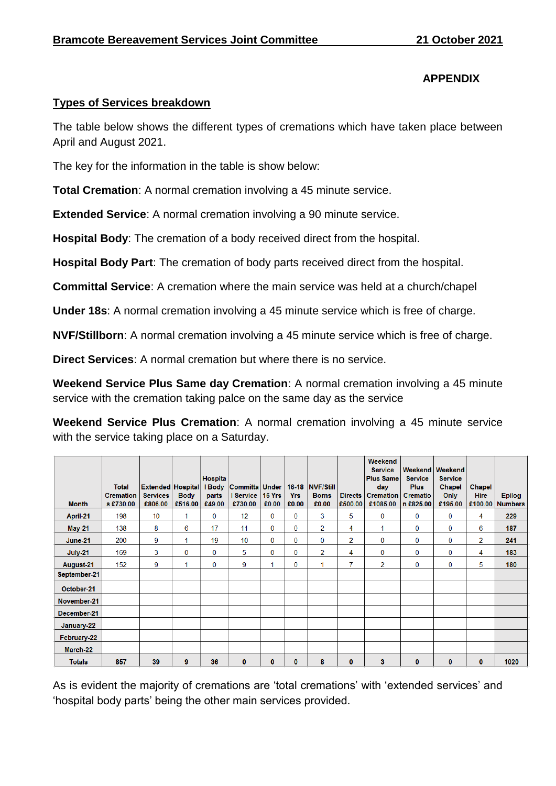# **APPENDIX**

### **Types of Services breakdown**

The table below shows the different types of cremations which have taken place between April and August 2021.

The key for the information in the table is show below:

**Total Cremation**: A normal cremation involving a 45 minute service.

**Extended Service**: A normal cremation involving a 90 minute service.

**Hospital Body**: The cremation of a body received direct from the hospital.

**Hospital Body Part**: The cremation of body parts received direct from the hospital.

**Committal Service**: A cremation where the main service was held at a church/chapel

**Under 18s**: A normal cremation involving a 45 minute service which is free of charge.

**NVF/Stillborn**: A normal cremation involving a 45 minute service which is free of charge.

**Direct Services**: A normal cremation but where there is no service.

**Weekend Service Plus Same day Cremation**: A normal cremation involving a 45 minute service with the cremation taking palce on the same day as the service

**Weekend Service Plus Cremation**: A normal cremation involving a 45 minute service with the service taking place on a Saturday.

| <b>Month</b>     | <b>Total</b><br><b>Cremation</b><br>s £730.00 | <b>Extended Hospital</b><br><b>Services</b><br>£806.00 | <b>Body</b><br>£516.00 | <b>Hospita</b><br>I Body<br>parts<br>£49.00 | Committa Under<br>I Service<br>£730.00 | 16 Yrs<br>£0.00 | <b>Yrs</b><br>£0.00 | 16-18 NVF/Still<br><b>Borns</b><br>£0.00 | <b>Directs</b><br>£500.00 | Weekend<br><b>Service</b><br><b>Plus Same</b><br>day<br><b>Cremation</b><br>£1085.00 | Weekend   Weekend<br><b>Service</b><br><b>Plus</b><br><b>Crematio</b><br>n £825.00 | <b>Service</b><br><b>Chapel</b><br>Only<br>£195.00 | <b>Chapel</b><br><b>Hire</b><br>£100.00 | <b>Epilog</b><br><b>Numbers</b> |
|------------------|-----------------------------------------------|--------------------------------------------------------|------------------------|---------------------------------------------|----------------------------------------|-----------------|---------------------|------------------------------------------|---------------------------|--------------------------------------------------------------------------------------|------------------------------------------------------------------------------------|----------------------------------------------------|-----------------------------------------|---------------------------------|
| April-21         | 198                                           | 10                                                     |                        | $\bf{0}$                                    | 12 <sup>°</sup>                        | $\bf{0}$        | 0                   | 3                                        | 5                         | 0                                                                                    | $\bf{0}$                                                                           | 0                                                  | 4                                       | 229                             |
| <b>May 21</b>    | 138                                           | 8                                                      | 6                      | 17                                          | 11                                     | $\bf{0}$        | 0                   | 2                                        | 4                         | 1                                                                                    | $\bf{0}$                                                                           | $\bf{0}$                                           | 6                                       | 187                             |
| <b>June-21</b>   | 200                                           | 9                                                      |                        | 19                                          | 10 <sup>10</sup>                       | $\bf{0}$        | 0                   | $\bf{0}$                                 | $\overline{2}$            | $\bf{0}$                                                                             | $\bf{0}$                                                                           | $\bf{0}$                                           | 2                                       | 241                             |
| <b>July-21</b>   | 169                                           | 3                                                      | $\mathbf{0}$           | $\mathbf{0}$                                | 5                                      | $\bf{0}$        | 0                   | $\overline{2}$                           | 4                         | $\bf{0}$                                                                             | $\bf{0}$                                                                           | $\mathbf{0}$                                       | 4                                       | 183                             |
| <b>August 21</b> | 152                                           | 9                                                      |                        | $\bf{0}$                                    | 9                                      |                 | 0                   | 1                                        | 7                         | $\overline{2}$                                                                       | $\bf{0}$                                                                           | $\bf{0}$                                           | 5                                       | 180                             |
| September-21     |                                               |                                                        |                        |                                             |                                        |                 |                     |                                          |                           |                                                                                      |                                                                                    |                                                    |                                         |                                 |
| October-21       |                                               |                                                        |                        |                                             |                                        |                 |                     |                                          |                           |                                                                                      |                                                                                    |                                                    |                                         |                                 |
| November-21      |                                               |                                                        |                        |                                             |                                        |                 |                     |                                          |                           |                                                                                      |                                                                                    |                                                    |                                         |                                 |
| December-21      |                                               |                                                        |                        |                                             |                                        |                 |                     |                                          |                           |                                                                                      |                                                                                    |                                                    |                                         |                                 |
| January-22       |                                               |                                                        |                        |                                             |                                        |                 |                     |                                          |                           |                                                                                      |                                                                                    |                                                    |                                         |                                 |
| February-22      |                                               |                                                        |                        |                                             |                                        |                 |                     |                                          |                           |                                                                                      |                                                                                    |                                                    |                                         |                                 |
| March-22         |                                               |                                                        |                        |                                             |                                        |                 |                     |                                          |                           |                                                                                      |                                                                                    |                                                    |                                         |                                 |
| <b>Totals</b>    | 857                                           | 39                                                     | 9                      | 36                                          | $\bf{0}$                               | 0               | 0                   | 8                                        | $\bf{0}$                  | 3                                                                                    | 0                                                                                  | $\bf{0}$                                           | $\bf{0}$                                | 1020                            |

As is evident the majority of cremations are 'total cremations' with 'extended services' and 'hospital body parts' being the other main services provided.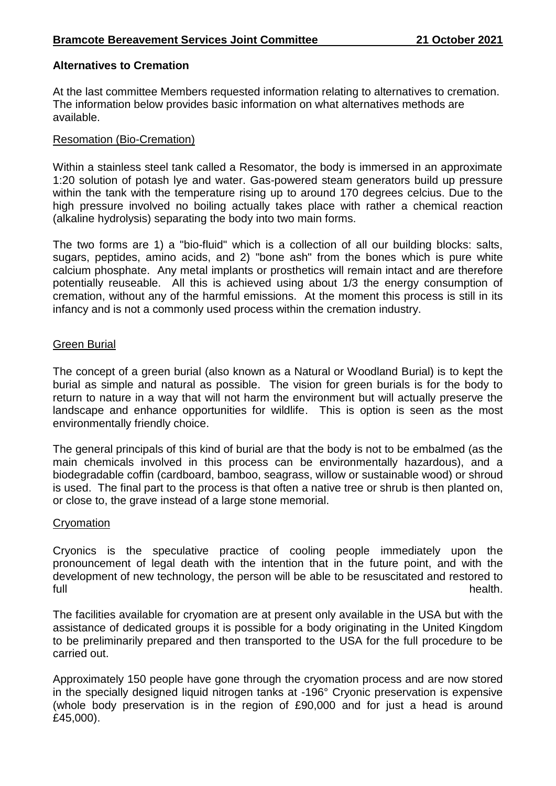### **Alternatives to Cremation**

At the last committee Members requested information relating to alternatives to cremation. The information below provides basic information on what alternatives methods are available.

### Resomation (Bio-Cremation)

Within a stainless steel tank called a Resomator, the body is immersed in an approximate 1:20 solution of potash lye and water. Gas-powered steam generators build up pressure within the tank with the temperature rising up to around 170 degrees celcius. Due to the high pressure involved no boiling actually takes place with rather a chemical reaction (alkaline hydrolysis) separating the body into two main forms.

The two forms are 1) a "bio-fluid" which is a collection of all our building blocks: salts, sugars, peptides, amino acids, and 2) "bone ash" from the bones which is pure white calcium phosphate. Any metal implants or prosthetics will remain intact and are therefore potentially reuseable. All this is achieved using about 1/3 the energy consumption of cremation, without any of the harmful emissions. At the moment this process is still in its infancy and is not a commonly used process within the cremation industry.

### Green Burial

The concept of a green burial (also known as a Natural or Woodland Burial) is to kept the burial as simple and natural as possible. The vision for green burials is for the body to return to nature in a way that will not harm the environment but will actually preserve the landscape and enhance opportunities for wildlife. This is option is seen as the most environmentally friendly choice.

The general principals of this kind of burial are that the body is not to be embalmed (as the main chemicals involved in this process can be environmentally hazardous), and a biodegradable [coffin](http://www.funeralinspirations.co.uk/information/Coffins.html) (cardboard, bamboo, seagrass, willow or sustainable wood) or [shroud](http://www.funeralinspirations.co.uk/information/Shrouds.html) is used. The final part to the process is that often a native [tree or shrub](http://www.funeralinspirations.co.uk/information/Keepsakes.html#anc1) is then planted on, or close to, the grave instead of a large stone memorial.

### Cryomation

Cryonics is the speculative practice of cooling people immediately upon the pronouncement of legal death with the intention that in the future point, and with the development of new technology, the person will be able to be resuscitated and restored to full health.

The facilities available for cryomation are at present only available in the USA but with the assistance of dedicated groups it is possible for a body originating in the United Kingdom to be preliminarily prepared and then transported to the USA for the full procedure to be carried out.

Approximately 150 people have gone through the cryomation process and are now stored in the specially designed liquid nitrogen tanks at -196° Cryonic preservation is expensive (whole body preservation is in the region of £90,000 and for just a head is around £45,000).